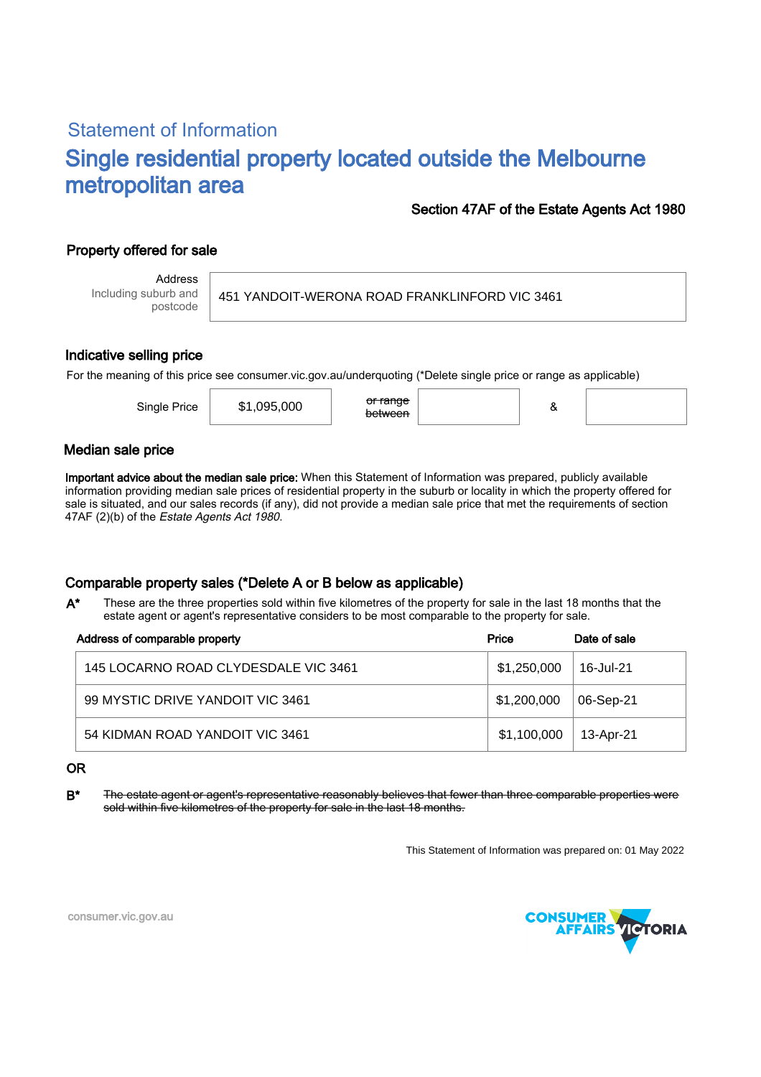# Statement of Information Single residential property located outside the Melbourne metropolitan area

# Section 47AF of the Estate Agents Act 1980

# Property offered for sale

Address Including suburb and postcode

451 YANDOIT-WERONA ROAD FRANKLINFORD VIC 3461

### Indicative selling price

For the meaning of this price see consumer.vic.gov.au/underquoting (\*Delete single price or range as applicable)

| Single Price | \$1,095,000 | or range<br><del>between</del> |  |  |
|--------------|-------------|--------------------------------|--|--|
|              |             |                                |  |  |

### Median sale price

Important advice about the median sale price: When this Statement of Information was prepared, publicly available information providing median sale prices of residential property in the suburb or locality in which the property offered for sale is situated, and our sales records (if any), did not provide a median sale price that met the requirements of section 47AF (2)(b) of the Estate Agents Act 1980.

# Comparable property sales (\*Delete A or B below as applicable)

These are the three properties sold within five kilometres of the property for sale in the last 18 months that the estate agent or agent's representative considers to be most comparable to the property for sale. A\*

| Address of comparable property       | Price       | Date of sale |
|--------------------------------------|-------------|--------------|
| 145 LOCARNO ROAD CLYDESDALE VIC 3461 | \$1,250,000 | 16-Jul-21    |
| 99 MYSTIC DRIVE YANDOIT VIC 3461     | \$1,200,000 | 06-Sep-21    |
| 54 KIDMAN ROAD YANDOIT VIC 3461      | \$1,100,000 | 13-Apr-21    |

#### OR

B<sup>\*</sup> The estate agent or agent's representative reasonably believes that fewer than three comparable properties were sold within five kilometres of the property for sale in the last 18 months.

This Statement of Information was prepared on: 01 May 2022



consumer.vic.gov.au